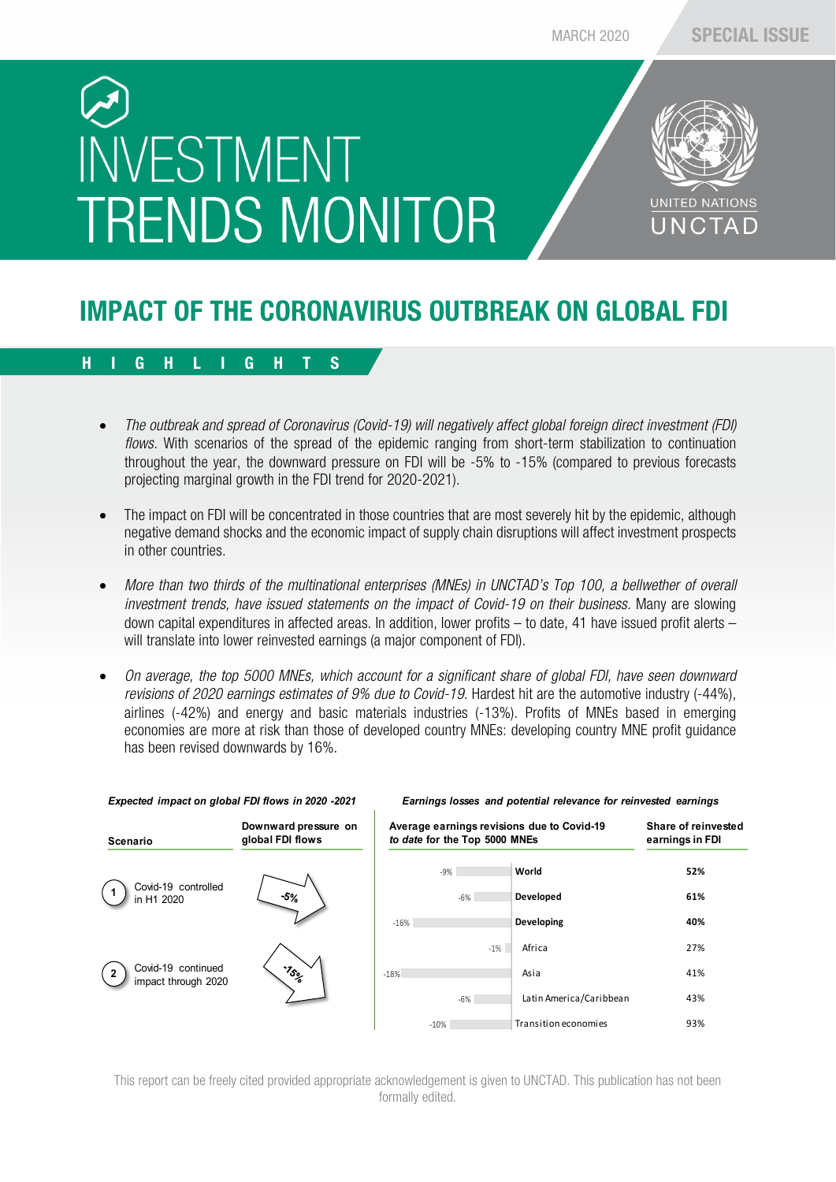# INVESTMENT **TRENDS MONITOR**



### IMPACT OF THE CORONAVIRUS OUTBREAK ON GLOBAL FDI

### HIGHLIGHTS

- *The outbreak and spread of Coronavirus (Covid-19) will negatively affect global foreign direct investment (FDI) flows.* With scenarios of the spread of the epidemic ranging from short-term stabilization to continuation throughout the year, the downward pressure on FDI will be -5% to -15% (compared to previous forecasts projecting marginal growth in the FDI trend for 2020-2021).
- The impact on FDI will be concentrated in those countries that are most severely hit by the epidemic, although negative demand shocks and the economic impact of supply chain disruptions will affect investment prospects in other countries.
- *More than two thirds of the multinational enterprises (MNEs) in UNCTAD's Top 100, a bellwether of overall investment trends, have issued statements on the impact of Covid-19 on their business.* Many are slowing down capital expenditures in affected areas. In addition, lower profits – to date, 41 have issued profit alerts – will translate into lower reinvested earnings (a major component of FDI).
- *On average, the top 5000 MNEs, which account for a significant share of global FDI, have seen downward revisions of 2020 earnings estimates of 9% due to Covid-19.* Hardest hit are the automotive industry (-44%), airlines (-42%) and energy and basic materials industries (-13%). Profits of MNEs based in emerging economies are more at risk than those of developed country MNEs: developing country MNE profit guidance has been revised downwards by 16%.



| Average earnings revisions due to Covid-19<br>to date for the Top 5000 MNEs |        |        |                         | Share of reinvested<br>earnings in FDI |
|-----------------------------------------------------------------------------|--------|--------|-------------------------|----------------------------------------|
|                                                                             | $-9%$  |        | World                   | 52%                                    |
|                                                                             | $-6%$  |        | Developed               | 61%                                    |
| $-16%$                                                                      |        |        | Developing              | 40%                                    |
|                                                                             |        | $-1\%$ | Africa                  | 27%                                    |
| $-18%$                                                                      |        |        | Asia                    | 41%                                    |
|                                                                             | $-6%$  |        | Latin America/Caribbean | 43%                                    |
|                                                                             | $-10%$ |        | Transition economies    | 93%                                    |

*Expected impact on global FDI flows in 2020 -2021 Earnings losses and potential relevance for reinvested earnings*

This report can be freely cited provided appropriate acknowledgement is given to UNCTAD. This publication has not been formally edited.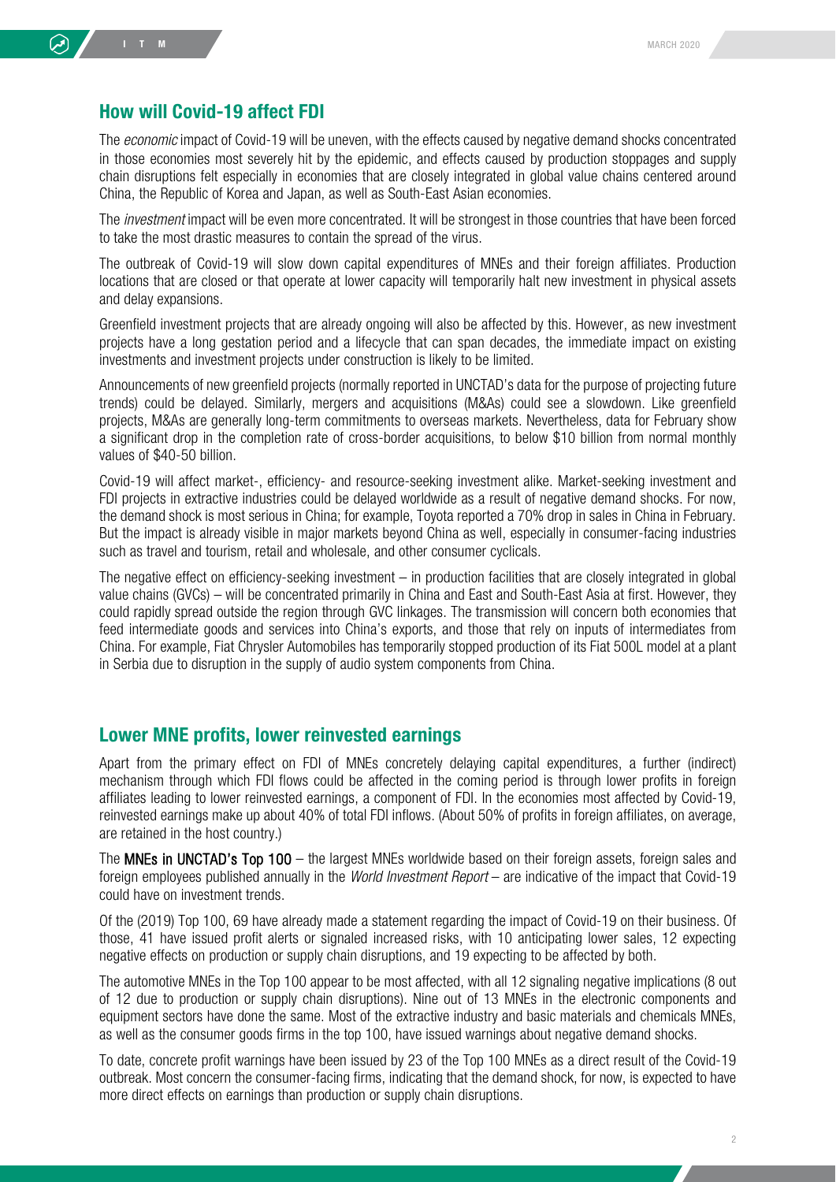#### How will Covid-19 affect FDI

The *economic* impact of Covid-19 will be uneven, with the effects caused by negative demand shocks concentrated in those economies most severely hit by the epidemic, and effects caused by production stoppages and supply chain disruptions felt especially in economies that are closely integrated in global value chains centered around China, the Republic of Korea and Japan, as well as South-East Asian economies.

The *investment* impact will be even more concentrated. It will be strongest in those countries that have been forced to take the most drastic measures to contain the spread of the virus.

The outbreak of Covid-19 will slow down capital expenditures of MNEs and their foreign affiliates. Production locations that are closed or that operate at lower capacity will temporarily halt new investment in physical assets and delay expansions.

Greenfield investment projects that are already ongoing will also be affected by this. However, as new investment projects have a long gestation period and a lifecycle that can span decades, the immediate impact on existing investments and investment projects under construction is likely to be limited.

Announcements of new greenfield projects (normally reported in UNCTAD's data for the purpose of projecting future trends) could be delayed. Similarly, mergers and acquisitions (M&As) could see a slowdown. Like greenfield projects, M&As are generally long-term commitments to overseas markets. Nevertheless, data for February show a significant drop in the completion rate of cross-border acquisitions, to below \$10 billion from normal monthly values of \$40-50 billion.

Covid-19 will affect market-, efficiency- and resource-seeking investment alike. Market-seeking investment and FDI projects in extractive industries could be delayed worldwide as a result of negative demand shocks. For now, the demand shock is most serious in China; for example, Toyota reported a 70% drop in sales in China in February. But the impact is already visible in major markets beyond China as well, especially in consumer-facing industries such as travel and tourism, retail and wholesale, and other consumer cyclicals.

The negative effect on efficiency-seeking investment – in production facilities that are closely integrated in global value chains (GVCs) – will be concentrated primarily in China and East and South-East Asia at first. However, they could rapidly spread outside the region through GVC linkages. The transmission will concern both economies that feed intermediate goods and services into China's exports, and those that rely on inputs of intermediates from China. For example, Fiat Chrysler Automobiles has temporarily stopped production of its Fiat 500L model at a plant in Serbia due to disruption in the supply of audio system components from China.

### Lower MNE profits, lower reinvested earnings

Apart from the primary effect on FDI of MNEs concretely delaying capital expenditures, a further (indirect) mechanism through which FDI flows could be affected in the coming period is through lower profits in foreign affiliates leading to lower reinvested earnings, a component of FDI. In the economies most affected by Covid-19, reinvested earnings make up about 40% of total FDI inflows. (About 50% of profits in foreign affiliates, on average, are retained in the host country.)

The MNEs in UNCTAD's Top 100 – the largest MNEs worldwide based on their foreign assets, foreign sales and foreign employees published annually in the *World Investment Report* – are indicative of the impact that Covid-19 could have on investment trends.

Of the (2019) Top 100, 69 have already made a statement regarding the impact of Covid-19 on their business. Of those, 41 have issued profit alerts or signaled increased risks, with 10 anticipating lower sales, 12 expecting negative effects on production or supply chain disruptions, and 19 expecting to be affected by both.

The automotive MNEs in the Top 100 appear to be most affected, with all 12 signaling negative implications (8 out of 12 due to production or supply chain disruptions). Nine out of 13 MNEs in the electronic components and equipment sectors have done the same. Most of the extractive industry and basic materials and chemicals MNEs, as well as the consumer goods firms in the top 100, have issued warnings about negative demand shocks.

To date, concrete profit warnings have been issued by 23 of the Top 100 MNEs as a direct result of the Covid-19 outbreak. Most concern the consumer-facing firms, indicating that the demand shock, for now, is expected to have more direct effects on earnings than production or supply chain disruptions.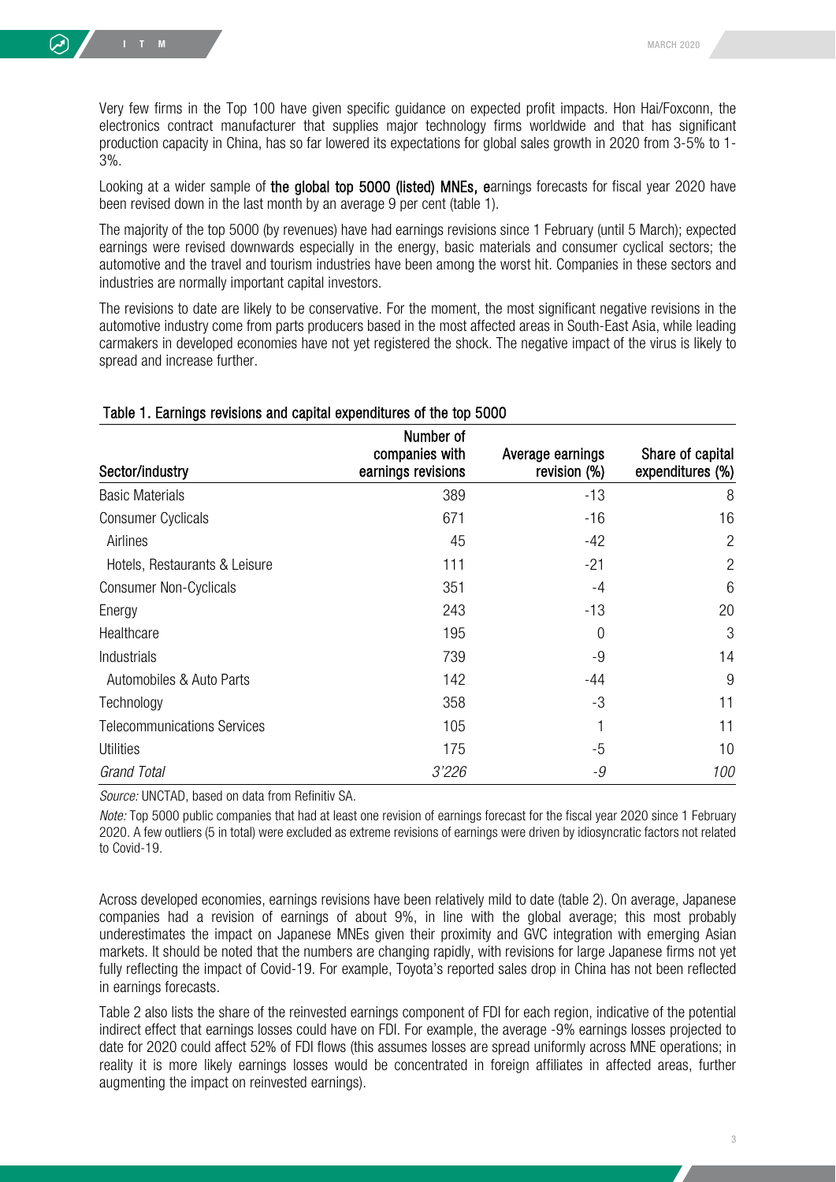Very few firms in the Top 100 have given specific guidance on expected profit impacts. Hon Hai/Foxconn, the electronics contract manufacturer that supplies major technology firms worldwide and that has significant production capacity in China, has so far lowered its expectations for global sales growth in 2020 from 3-5% to 1- 3%.

Looking at a wider sample of the global top 5000 (listed) MNEs, earnings forecasts for fiscal year 2020 have been revised down in the last month by an average 9 per cent (table 1).

The majority of the top 5000 (by revenues) have had earnings revisions since 1 February (until 5 March); expected earnings were revised downwards especially in the energy, basic materials and consumer cyclical sectors; the automotive and the travel and tourism industries have been among the worst hit. Companies in these sectors and industries are normally important capital investors.

The revisions to date are likely to be conservative. For the moment, the most significant negative revisions in the automotive industry come from parts producers based in the most affected areas in South-East Asia, while leading carmakers in developed economies have not yet registered the shock. The negative impact of the virus is likely to spread and increase further.

#### Table 1. Earnings revisions and capital expenditures of the top 5000

| Sector/industry                    | Number of<br>companies with<br>earnings revisions | Average earnings<br>revision (%) | Share of capital<br>expenditures (%) |
|------------------------------------|---------------------------------------------------|----------------------------------|--------------------------------------|
| <b>Basic Materials</b>             | 389                                               | $-13$                            | 8                                    |
| <b>Consumer Cyclicals</b>          | 671                                               | $-16$                            | 16                                   |
| Airlines                           | 45                                                | $-42$                            | $\overline{2}$                       |
| Hotels, Restaurants & Leisure      | 111                                               | $-21$                            | 2                                    |
| <b>Consumer Non-Cyclicals</b>      | 351                                               | $-4$                             | 6                                    |
| Energy                             | 243                                               | $-13$                            | 20                                   |
| Healthcare                         | 195                                               | $\overline{0}$                   | 3                                    |
| Industrials                        | 739                                               | -9                               | 14                                   |
| Automobiles & Auto Parts           | 142                                               | $-44$                            | 9                                    |
| Technology                         | 358                                               | $-3$                             | 11                                   |
| <b>Telecommunications Services</b> | 105                                               |                                  | 11                                   |
| <b>Utilities</b>                   | 175                                               | $-5$                             | 10                                   |
| <b>Grand Total</b>                 | <i>3'226</i>                                      | -9                               | 100                                  |

*Source:* UNCTAD, based on data from Refinitiv SA.

*Note:* Top 5000 public companies that had at least one revision of earnings forecast for the fiscal year 2020 since 1 February 2020. A few outliers (5 in total) were excluded as extreme revisions of earnings were driven by idiosyncratic factors not related to Covid-19.

Across developed economies, earnings revisions have been relatively mild to date (table 2). On average, Japanese companies had a revision of earnings of about 9%, in line with the global average; this most probably underestimates the impact on Japanese MNEs given their proximity and GVC integration with emerging Asian markets. It should be noted that the numbers are changing rapidly, with revisions for large Japanese firms not yet fully reflecting the impact of Covid-19. For example, Toyota's reported sales drop in China has not been reflected in earnings forecasts.

Table 2 also lists the share of the reinvested earnings component of FDI for each region, indicative of the potential indirect effect that earnings losses could have on FDI. For example, the average -9% earnings losses projected to date for 2020 could affect 52% of FDI flows (this assumes losses are spread uniformly across MNE operations; in reality it is more likely earnings losses would be concentrated in foreign affiliates in affected areas, further augmenting the impact on reinvested earnings).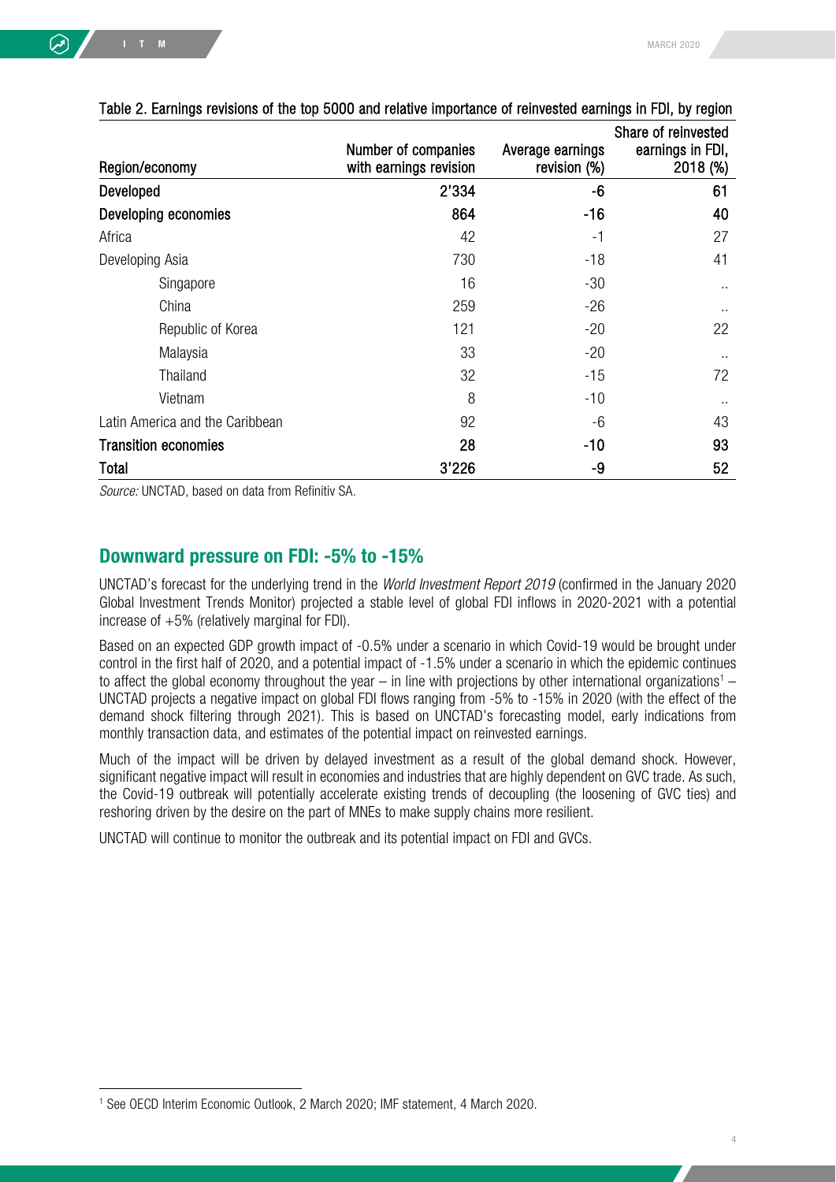|                                 |                                               |                                  | Share of reinvested          |
|---------------------------------|-----------------------------------------------|----------------------------------|------------------------------|
| Region/economy                  | Number of companies<br>with earnings revision | Average earnings<br>revision (%) | earnings in FDI,<br>2018 (%) |
| Developed                       | 2'334                                         | -6                               | 61                           |
| Developing economies            | 864                                           | $-16$                            | 40                           |
| Africa                          | 42                                            | $-1$                             | 27                           |
| Developing Asia                 | 730                                           | $-18$                            | 41                           |
| Singapore                       | 16                                            | $-30$                            | $\sim$                       |
| China                           | 259                                           | $-26$                            | $\sim$                       |
| Republic of Korea               | 121                                           | $-20$                            | 22                           |
| Malaysia                        | 33                                            | $-20$                            | $\sim$                       |
| <b>Thailand</b>                 | 32                                            | $-15$                            | 72                           |
| Vietnam                         | 8                                             | $-10$                            | $\sim$                       |
| Latin America and the Caribbean | 92                                            | $-6$                             | 43                           |
| <b>Transition economies</b>     | 28                                            | $-10$                            | 93                           |
| Total                           | 3'226                                         | -9                               | 52                           |

#### Table 2. Earnings revisions of the top 5000 and relative importance of reinvested earnings in FDI, by region

*Source:* UNCTAD, based on data from Refinitiv SA.

#### Downward pressure on FDI: -5% to -15%

UNCTAD's forecast for the underlying trend in the *World Investment Report 2019* (confirmed in the January 2020 Global Investment Trends Monitor) projected a stable level of global FDI inflows in 2020-2021 with a potential increase of +5% (relatively marginal for FDI).

Based on an expected GDP growth impact of -0.5% under a scenario in which Covid-19 would be brought under control in the first half of 2020, and a potential impact of -1.5% under a scenario in which the epidemic continues to affect the global economy throughout the year – in line with projections by other international organizations<sup>[1](#page-3-0)</sup> – UNCTAD projects a negative impact on global FDI flows ranging from -5% to -15% in 2020 (with the effect of the demand shock filtering through 2021). This is based on UNCTAD's forecasting model, early indications from monthly transaction data, and estimates of the potential impact on reinvested earnings.

Much of the impact will be driven by delayed investment as a result of the global demand shock. However, significant negative impact will result in economies and industries that are highly dependent on GVC trade. As such, the Covid-19 outbreak will potentially accelerate existing trends of decoupling (the loosening of GVC ties) and reshoring driven by the desire on the part of MNEs to make supply chains more resilient.

UNCTAD will continue to monitor the outbreak and its potential impact on FDI and GVCs.

<span id="page-3-0"></span><sup>1</sup> See OECD Interim Economic Outlook, 2 March 2020; IMF statement, 4 March 2020.